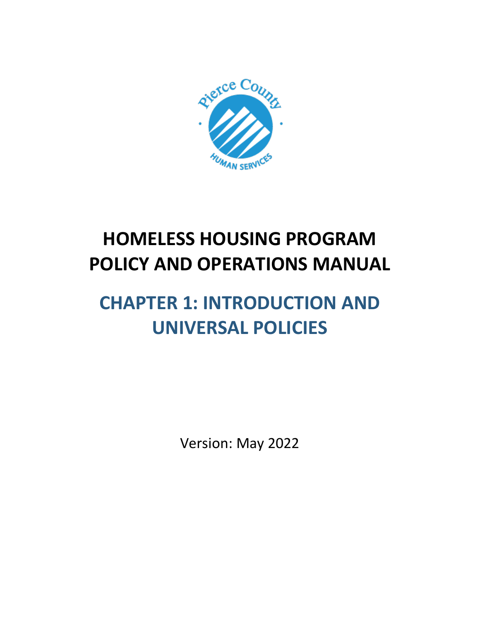

# **HOMELESS HOUSING PROGRAM POLICY AND OPERATIONS MANUAL**

# **CHAPTER 1: INTRODUCTION AND UNIVERSAL POLICIES**

Version: May 2022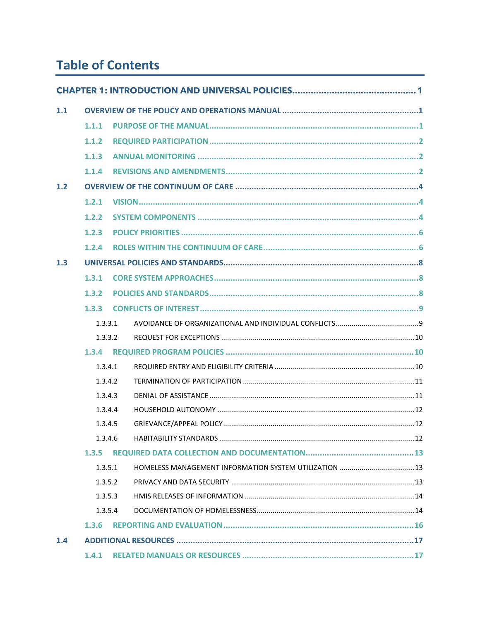# **Table of Contents**

| 1.1 |         |  |  |  |  |
|-----|---------|--|--|--|--|
|     | 1.1.1   |  |  |  |  |
|     | 1.1.2   |  |  |  |  |
|     | 1.1.3   |  |  |  |  |
|     | 1.1.4   |  |  |  |  |
| 1.2 |         |  |  |  |  |
|     | 1.2.1   |  |  |  |  |
|     | 1.2.2   |  |  |  |  |
|     | 1.2.3   |  |  |  |  |
|     | 1.2.4   |  |  |  |  |
| 1.3 |         |  |  |  |  |
|     | 1.3.1   |  |  |  |  |
|     | 1.3.2   |  |  |  |  |
|     | 1.3.3   |  |  |  |  |
|     | 1.3.3.1 |  |  |  |  |
|     | 1.3.3.2 |  |  |  |  |
|     | 1.3.4   |  |  |  |  |
|     | 1.3.4.1 |  |  |  |  |
|     | 1.3.4.2 |  |  |  |  |
|     | 1.3.4.3 |  |  |  |  |
|     | 1.3.4.4 |  |  |  |  |
|     | 1.3.4.5 |  |  |  |  |
|     | 1.3.4.6 |  |  |  |  |
|     | 1.3.5   |  |  |  |  |
|     | 1.3.5.1 |  |  |  |  |
|     | 1.3.5.2 |  |  |  |  |
|     | 1.3.5.3 |  |  |  |  |
|     | 1.3.5.4 |  |  |  |  |
|     | 1.3.6   |  |  |  |  |
| 1.4 |         |  |  |  |  |
|     | 1.4.1   |  |  |  |  |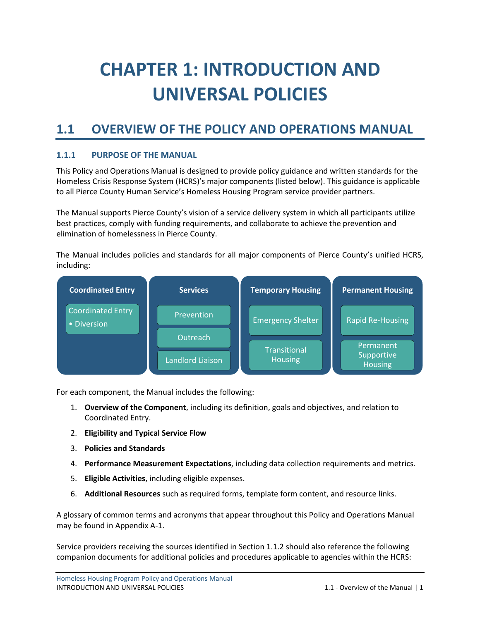# <span id="page-3-0"></span>**CHAPTER 1: INTRODUCTION AND UNIVERSAL POLICIES**

# <span id="page-3-1"></span>**1.1 OVERVIEW OF THE POLICY AND OPERATIONS MANUAL**

# <span id="page-3-2"></span>**1.1.1 PURPOSE OF THE MANUAL**

This Policy and Operations Manual is designed to provide policy guidance and written standards for the Homeless Crisis Response System (HCRS)'s major components (listed below). This guidance is applicable to all Pierce County Human Service's Homeless Housing Program service provider partners.

The Manual supports Pierce County's vision of a service delivery system in which all participants utilize best practices, comply with funding requirements, and collaborate to achieve the prevention and elimination of homelessness in Pierce County.

The Manual includes policies and standards for all major components of Pierce County's unified HCRS, including:



For each component, the Manual includes the following:

- 1. **Overview of the Component**, including its definition, goals and objectives, and relation to Coordinated Entry.
- 2. **Eligibility and Typical Service Flow**
- 3. **Policies and Standards**
- 4. **Performance Measurement Expectations**, including data collection requirements and metrics.
- 5. **Eligible Activities**, including eligible expenses.
- 6. **Additional Resources** such as required forms, template form content, and resource links.

A glossary of common terms and acronyms that appear throughout this Policy and Operations Manual may be found in Appendix A-1.

Service providers receiving the sources identified in Section 1.1.2 should also reference the following companion documents for additional policies and procedures applicable to agencies within the HCRS: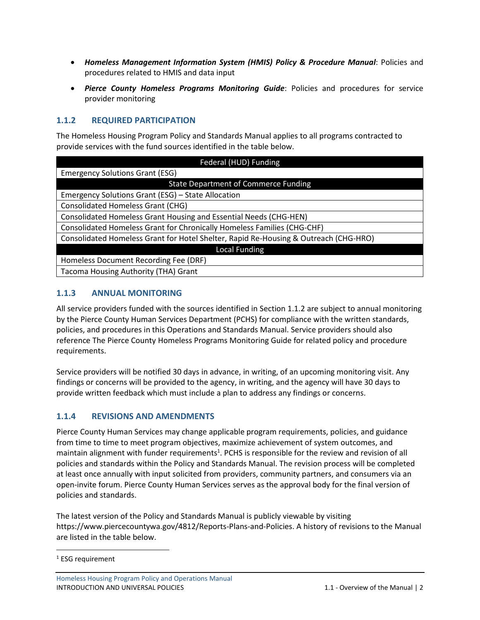- *Homeless Management Information System (HMIS) Policy & Procedure Manual*: Policies and procedures related to HMIS and data input
- *Pierce County Homeless Programs Monitoring Guide*: Policies and procedures for service provider monitoring

# <span id="page-4-0"></span>**1.1.2 REQUIRED PARTICIPATION**

The Homeless Housing Program Policy and Standards Manual applies to all programs contracted to provide services with the fund sources identified in the table below.

| Federal (HUD) Funding                                                                |  |  |  |
|--------------------------------------------------------------------------------------|--|--|--|
| <b>Emergency Solutions Grant (ESG)</b>                                               |  |  |  |
| <b>State Department of Commerce Funding</b>                                          |  |  |  |
| Emergency Solutions Grant (ESG) - State Allocation                                   |  |  |  |
| <b>Consolidated Homeless Grant (CHG)</b>                                             |  |  |  |
| Consolidated Homeless Grant Housing and Essential Needs (CHG-HEN)                    |  |  |  |
| Consolidated Homeless Grant for Chronically Homeless Families (CHG-CHF)              |  |  |  |
| Consolidated Homeless Grant for Hotel Shelter, Rapid Re-Housing & Outreach (CHG-HRO) |  |  |  |
| <b>Local Funding</b>                                                                 |  |  |  |
| Homeless Document Recording Fee (DRF)                                                |  |  |  |
| Tacoma Housing Authority (THA) Grant                                                 |  |  |  |

# <span id="page-4-1"></span>**1.1.3 ANNUAL MONITORING**

All service providers funded with the sources identified in Section 1.1.2 are subject to annual monitoring by the Pierce County Human Services Department (PCHS) for compliance with the written standards, policies, and procedures in this Operations and Standards Manual. Service providers should also reference The Pierce County Homeless Programs Monitoring Guide for related policy and procedure requirements.

Service providers will be notified 30 days in advance, in writing, of an upcoming monitoring visit. Any findings or concerns will be provided to the agency, in writing, and the agency will have 30 days to provide written feedback which must include a plan to address any findings or concerns.

# <span id="page-4-2"></span>**1.1.4 REVISIONS AND AMENDMENTS**

Pierce County Human Services may change applicable program requirements, policies, and guidance from time to time to meet program objectives, maximize achievement of system outcomes, and maintain alignment with funder requirements<sup>1</sup>. PCHS is responsible for the review and revision of all policies and standards within the Policy and Standards Manual. The revision process will be completed at least once annually with input solicited from providers, community partners, and consumers via an open-invite forum. Pierce County Human Services serves as the approval body for the final version of policies and standards.

The latest version of the Policy and Standards Manual is publicly viewable by visiting https://www.piercecountywa.gov/4812/Reports-Plans-and-Policies. A history of revisions to the Manual are listed in the table below.

Homeless Housing Program Policy and Operations Manual INTRODUCTION AND UNIVERSAL POLICIES 1.1 - Overview of the Manual | 2

<sup>&</sup>lt;sup>1</sup> ESG requirement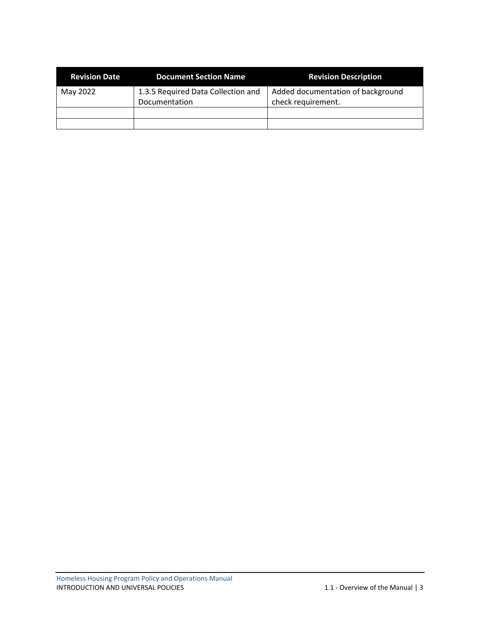| <b>Revision Date</b> | <b>Document Section Name</b>                        | <b>Revision Description</b>                             |
|----------------------|-----------------------------------------------------|---------------------------------------------------------|
| May 2022             | 1.3.5 Required Data Collection and<br>Documentation | Added documentation of background<br>check requirement. |
|                      |                                                     |                                                         |
|                      |                                                     |                                                         |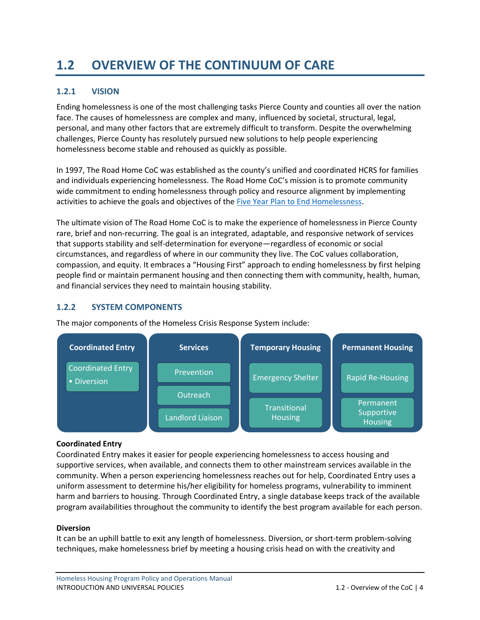# <span id="page-6-0"></span>**1.2 OVERVIEW OF THE CONTINUUM OF CARE**

# <span id="page-6-1"></span>**1.2.1 VISION**

Ending homelessness is one of the most challenging tasks Pierce County and counties all over the nation face. The causes of homelessness are complex and many, influenced by societal, structural, legal, personal, and many other factors that are extremely difficult to transform. Despite the overwhelming challenges, Pierce County has resolutely pursued new solutions to help people experiencing homelessness become stable and rehoused as quickly as possible.

In 1997, The Road Home CoC was established as the county's unified and coordinated HCRS for families and individuals experiencing homelessness. The Road Home CoC's mission is to promote community wide commitment to ending homelessness through policy and resource alignment by implementing activities to achieve the goals and objectives of the [Five Year Plan to End Homelessness.](https://www.piercecountywa.gov/DocumentCenter/View/87146/Pierce-County-5-Year-Plan-to-Address-Homeless-2020-2025?bidId=)

The ultimate vision of The Road Home CoC is to make the experience of homelessness in Pierce County rare, brief and non-recurring. The goal is an integrated, adaptable, and responsive network of services that supports stability and self-determination for everyone—regardless of economic or social circumstances, and regardless of where in our community they live. The CoC values collaboration, compassion, and equity. It embraces a "Housing First" approach to ending homelessness by first helping people find or maintain permanent housing and then connecting them with community, health, human, and financial services they need to maintain housing stability.

# <span id="page-6-2"></span>**1.2.2 SYSTEM COMPONENTS**



The major components of the Homeless Crisis Response System include:

# **Coordinated Entry**

Coordinated Entry makes it easier for people experiencing homelessness to access housing and supportive services, when available, and connects them to other mainstream services available in the community. When a person experiencing homelessness reaches out for help, Coordinated Entry uses a uniform assessment to determine his/her eligibility for homeless programs, vulnerability to imminent harm and barriers to housing. Through Coordinated Entry, a single database keeps track of the available program availabilities throughout the community to identify the best program available for each person.

# **Diversion**

It can be an uphill battle to exit any length of homelessness. Diversion, or short-term problem-solving techniques, make homelessness brief by meeting a housing crisis head on with the creativity and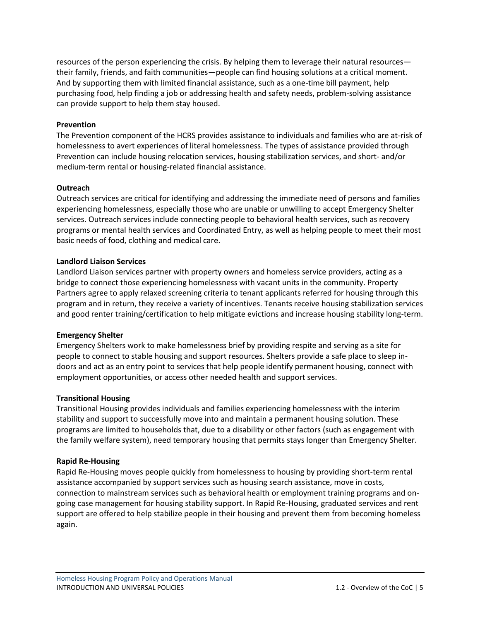resources of the person experiencing the crisis. By helping them to leverage their natural resources their family, friends, and faith communities—people can find housing solutions at a critical moment. And by supporting them with limited financial assistance, such as a one-time bill payment, help purchasing food, help finding a job or addressing health and safety needs, problem-solving assistance can provide support to help them stay housed.

#### **Prevention**

The Prevention component of the HCRS provides assistance to individuals and families who are at-risk of homelessness to avert experiences of literal homelessness. The types of assistance provided through Prevention can include housing relocation services, housing stabilization services, and short- and/or medium-term rental or housing-related financial assistance.

#### **Outreach**

Outreach services are critical for identifying and addressing the immediate need of persons and families experiencing homelessness, especially those who are unable or unwilling to accept Emergency Shelter services. Outreach services include connecting people to behavioral health services, such as recovery programs or mental health services and Coordinated Entry, as well as helping people to meet their most basic needs of food, clothing and medical care.

#### **Landlord Liaison Services**

Landlord Liaison services partner with property owners and homeless service providers, acting as a bridge to connect those experiencing homelessness with vacant units in the community. Property Partners agree to apply relaxed screening criteria to tenant applicants referred for housing through this program and in return, they receive a variety of incentives. Tenants receive housing stabilization services and good renter training/certification to help mitigate evictions and increase housing stability long-term.

#### **Emergency Shelter**

Emergency Shelters work to make homelessness brief by providing respite and serving as a site for people to connect to stable housing and support resources. Shelters provide a safe place to sleep indoors and act as an entry point to services that help people identify permanent housing, connect with employment opportunities, or access other needed health and support services.

# **Transitional Housing**

Transitional Housing provides individuals and families experiencing homelessness with the interim stability and support to successfully move into and maintain a permanent housing solution. These programs are limited to households that, due to a disability or other factors (such as engagement with the family welfare system), need temporary housing that permits stays longer than Emergency Shelter.

#### **Rapid Re-Housing**

Rapid Re-Housing moves people quickly from homelessness to housing by providing short-term rental assistance accompanied by support services such as housing search assistance, move in costs, connection to mainstream services such as behavioral health or employment training programs and ongoing case management for housing stability support. In Rapid Re-Housing, graduated services and rent support are offered to help stabilize people in their housing and prevent them from becoming homeless again.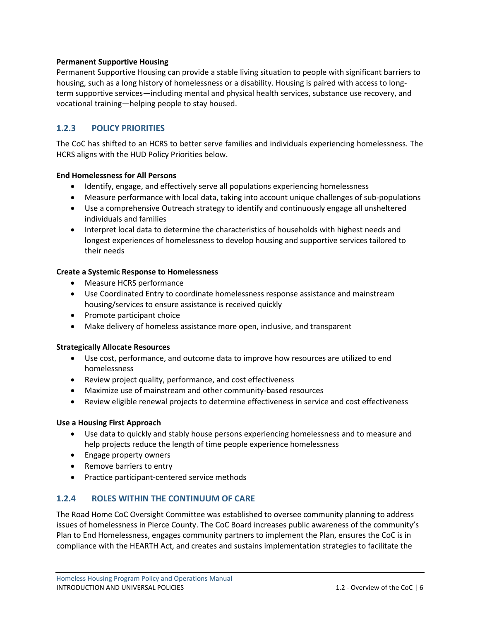#### **Permanent Supportive Housing**

Permanent Supportive Housing can provide a stable living situation to people with significant barriers to housing, such as a long history of homelessness or a disability. Housing is paired with access to longterm supportive services—including mental and physical health services, substance use recovery, and vocational training—helping people to stay housed.

# <span id="page-8-0"></span>**1.2.3 POLICY PRIORITIES**

The CoC has shifted to an HCRS to better serve families and individuals experiencing homelessness. The HCRS aligns with the HUD Policy Priorities below.

#### **End Homelessness for All Persons**

- Identify, engage, and effectively serve all populations experiencing homelessness
- Measure performance with local data, taking into account unique challenges of sub-populations
- Use a comprehensive Outreach strategy to identify and continuously engage all unsheltered individuals and families
- Interpret local data to determine the characteristics of households with highest needs and longest experiences of homelessness to develop housing and supportive services tailored to their needs

#### **Create a Systemic Response to Homelessness**

- Measure HCRS performance
- Use Coordinated Entry to coordinate homelessness response assistance and mainstream housing/services to ensure assistance is received quickly
- Promote participant choice
- Make delivery of homeless assistance more open, inclusive, and transparent

#### **Strategically Allocate Resources**

- Use cost, performance, and outcome data to improve how resources are utilized to end homelessness
- Review project quality, performance, and cost effectiveness
- Maximize use of mainstream and other community-based resources
- Review eligible renewal projects to determine effectiveness in service and cost effectiveness

#### **Use a Housing First Approach**

- Use data to quickly and stably house persons experiencing homelessness and to measure and help projects reduce the length of time people experience homelessness
- Engage property owners
- Remove barriers to entry
- Practice participant-centered service methods

# <span id="page-8-1"></span>**1.2.4 ROLES WITHIN THE CONTINUUM OF CARE**

The Road Home CoC Oversight Committee was established to oversee community planning to address issues of homelessness in Pierce County. The CoC Board increases public awareness of the community's Plan to End Homelessness, engages community partners to implement the Plan, ensures the CoC is in compliance with the HEARTH Act, and creates and sustains implementation strategies to facilitate the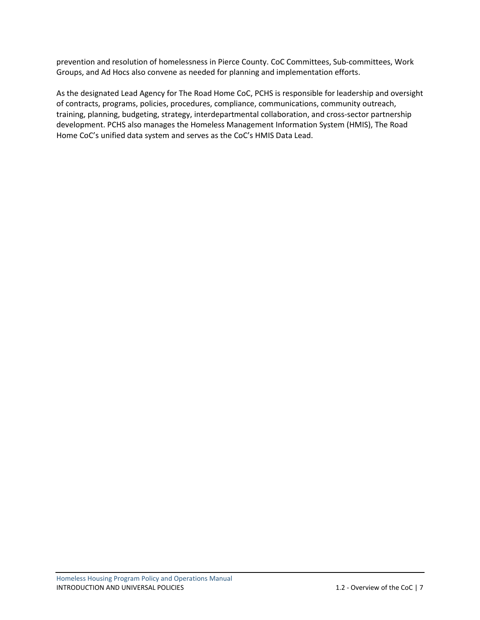prevention and resolution of homelessness in Pierce County. CoC Committees, Sub-committees, Work Groups, and Ad Hocs also convene as needed for planning and implementation efforts.

As the designated Lead Agency for The Road Home CoC, PCHS is responsible for leadership and oversight of contracts, programs, policies, procedures, compliance, communications, community outreach, training, planning, budgeting, strategy, interdepartmental collaboration, and cross-sector partnership development. PCHS also manages the Homeless Management Information System (HMIS), The Road Home CoC's unified data system and serves as the CoC's HMIS Data Lead.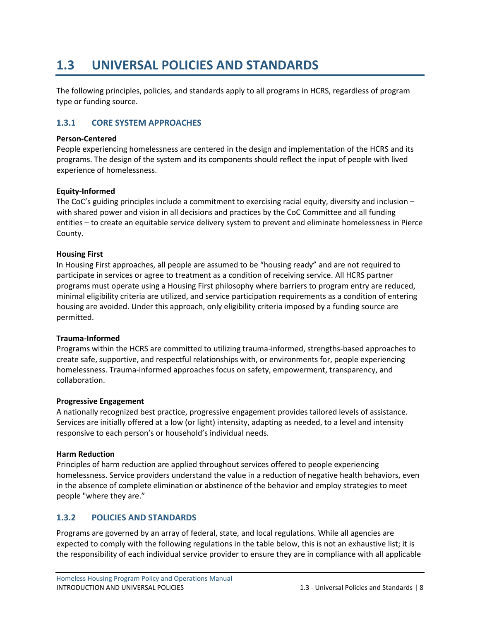# <span id="page-10-0"></span>**1.3 UNIVERSAL POLICIES AND STANDARDS**

The following principles, policies, and standards apply to all programs in HCRS, regardless of program type or funding source.

# <span id="page-10-1"></span>**1.3.1 CORE SYSTEM APPROACHES**

#### **Person-Centered**

People experiencing homelessness are centered in the design and implementation of the HCRS and its programs. The design of the system and its components should reflect the input of people with lived experience of homelessness.

#### **Equity-Informed**

The CoC's guiding principles include a commitment to exercising racial equity, diversity and inclusion – with shared power and vision in all decisions and practices by the CoC Committee and all funding entities – to create an equitable service delivery system to prevent and eliminate homelessness in Pierce County.

#### **Housing First**

In Housing First approaches, all people are assumed to be "housing ready" and are not required to participate in services or agree to treatment as a condition of receiving service. All HCRS partner programs must operate using a Housing First philosophy where barriers to program entry are reduced, minimal eligibility criteria are utilized, and service participation requirements as a condition of entering housing are avoided. Under this approach, only eligibility criteria imposed by a funding source are permitted.

#### **Trauma-Informed**

Programs within the HCRS are committed to utilizing trauma-informed, strengths-based approaches to create safe, supportive, and respectful relationships with, or environments for, people experiencing homelessness. Trauma-informed approaches focus on safety, empowerment, transparency, and collaboration.

#### **Progressive Engagement**

A nationally recognized best practice, progressive engagement provides tailored levels of assistance. Services are initially offered at a low (or light) intensity, adapting as needed, to a level and intensity responsive to each person's or household's individual needs.

#### **Harm Reduction**

Principles of harm reduction are applied throughout services offered to people experiencing homelessness. Service providers understand the value in a reduction of negative health behaviors, even in the absence of complete elimination or abstinence of the behavior and employ strategies to meet people "where they are."

# <span id="page-10-2"></span>**1.3.2 POLICIES AND STANDARDS**

Programs are governed by an array of federal, state, and local regulations. While all agencies are expected to comply with the following regulations in the table below, this is not an exhaustive list; it is the responsibility of each individual service provider to ensure they are in compliance with all applicable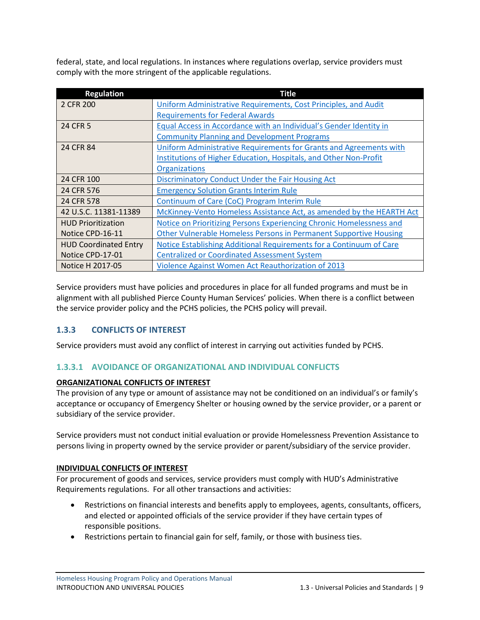federal, state, and local regulations. In instances where regulations overlap, service providers must comply with the more stringent of the applicable regulations.

| <b>Regulation</b>            | <b>Title</b>                                                             |
|------------------------------|--------------------------------------------------------------------------|
| 2 CFR 200                    | Uniform Administrative Requirements, Cost Principles, and Audit          |
|                              | <b>Requirements for Federal Awards</b>                                   |
| 24 CFR 5                     | Equal Access in Accordance with an Individual's Gender Identity in       |
|                              | <b>Community Planning and Development Programs</b>                       |
| 24 CFR 84                    | Uniform Administrative Requirements for Grants and Agreements with       |
|                              | Institutions of Higher Education, Hospitals, and Other Non-Profit        |
|                              | <b>Organizations</b>                                                     |
| 24 CFR 100                   | <b>Discriminatory Conduct Under the Fair Housing Act</b>                 |
| 24 CFR 576                   | <b>Emergency Solution Grants Interim Rule</b>                            |
| 24 CFR 578                   | Continuum of Care (CoC) Program Interim Rule                             |
| 42 U.S.C. 11381-11389        | McKinney-Vento Homeless Assistance Act, as amended by the HEARTH Act     |
| <b>HUD Prioritization</b>    | Notice on Prioritizing Persons Experiencing Chronic Homelessness and     |
| Notice CPD-16-11             | <b>Other Vulnerable Homeless Persons in Permanent Supportive Housing</b> |
| <b>HUD Coordinated Entry</b> | Notice Establishing Additional Requirements for a Continuum of Care      |
| Notice CPD-17-01             | <b>Centralized or Coordinated Assessment System</b>                      |
| Notice H 2017-05             | <b>Violence Against Women Act Reauthorization of 2013</b>                |

Service providers must have policies and procedures in place for all funded programs and must be in alignment with all published Pierce County Human Services' policies. When there is a conflict between the service provider policy and the PCHS policies, the PCHS policy will prevail.

# <span id="page-11-0"></span>**1.3.3 CONFLICTS OF INTEREST**

Service providers must avoid any conflict of interest in carrying out activities funded by PCHS.

# <span id="page-11-1"></span>**1.3.3.1 AVOIDANCE OF ORGANIZATIONAL AND INDIVIDUAL CONFLICTS**

#### **ORGANIZATIONAL CONFLICTS OF INTEREST**

The provision of any type or amount of assistance may not be conditioned on an individual's or family's acceptance or occupancy of Emergency Shelter or housing owned by the service provider, or a parent or subsidiary of the service provider.

Service providers must not conduct initial evaluation or provide Homelessness Prevention Assistance to persons living in property owned by the service provider or parent/subsidiary of the service provider.

#### **INDIVIDUAL CONFLICTS OF INTEREST**

For procurement of goods and services, service providers must comply with HUD's Administrative Requirements regulations. For all other transactions and activities:

- Restrictions on financial interests and benefits apply to employees, agents, consultants, officers, and elected or appointed officials of the service provider if they have certain types of responsible positions.
- Restrictions pertain to financial gain for self, family, or those with business ties.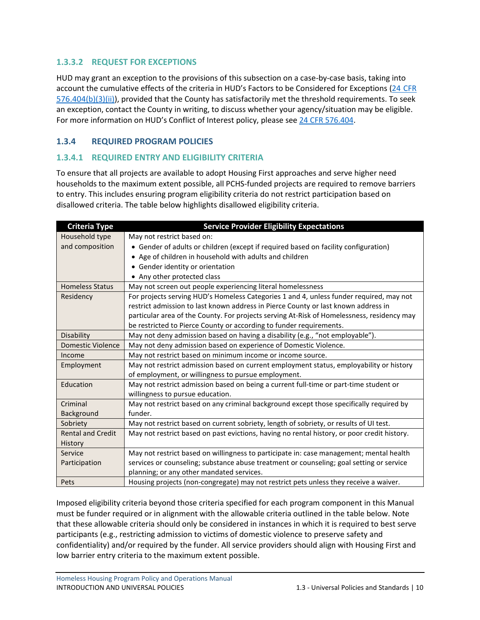# <span id="page-12-0"></span>**1.3.3.2 REQUEST FOR EXCEPTIONS**

HUD may grant an exception to the provisions of this subsection on a case-by-case basis, taking into account the cumulative effects of the criteria in HUD's Factors to be Considered for Exceptions (24 [CFR](https://ecfr.federalregister.gov/current/title-24/subtitle-B/chapter-V/subchapter-C/part-576/subpart-E/section-576.404#p-576.404(b)(3)(ii)) [576.404\(b\)\(3\)\(ii\)\)](https://ecfr.federalregister.gov/current/title-24/subtitle-B/chapter-V/subchapter-C/part-576/subpart-E/section-576.404#p-576.404(b)(3)(ii)), provided that the County has satisfactorily met the threshold requirements. To seek an exception, contact the County in writing, to discuss whether your agency/situation may be eligible. For more information on HUD's Conflict of Interest policy, please see [24 CFR 576.404.](https://ecfr.federalregister.gov/current/title-24/subtitle-B/chapter-V/subchapter-C/part-576/subpart-E/section-576.404)

# <span id="page-12-1"></span>**1.3.4 REQUIRED PROGRAM POLICIES**

# <span id="page-12-2"></span>**1.3.4.1 REQUIRED ENTRY AND ELIGIBILITY CRITERIA**

To ensure that all projects are available to adopt Housing First approaches and serve higher need households to the maximum extent possible, all PCHS-funded projects are required to remove barriers to entry. This includes ensuring program eligibility criteria do not restrict participation based on disallowed criteria. The table below highlights disallowed eligibility criteria.

| <b>Criteria Type</b>     | <b>Service Provider Eligibility Expectations</b>                                            |  |  |
|--------------------------|---------------------------------------------------------------------------------------------|--|--|
| Household type           | May not restrict based on:                                                                  |  |  |
| and composition          | • Gender of adults or children (except if required based on facility configuration)         |  |  |
|                          | • Age of children in household with adults and children                                     |  |  |
|                          | Gender identity or orientation                                                              |  |  |
|                          | • Any other protected class                                                                 |  |  |
| <b>Homeless Status</b>   | May not screen out people experiencing literal homelessness                                 |  |  |
| Residency                | For projects serving HUD's Homeless Categories 1 and 4, unless funder required, may not     |  |  |
|                          | restrict admission to last known address in Pierce County or last known address in          |  |  |
|                          | particular area of the County. For projects serving At-Risk of Homelessness, residency may  |  |  |
|                          | be restricted to Pierce County or according to funder requirements.                         |  |  |
| Disability               | May not deny admission based on having a disability (e.g., "not employable").               |  |  |
| <b>Domestic Violence</b> | May not deny admission based on experience of Domestic Violence.                            |  |  |
| Income                   | May not restrict based on minimum income or income source.                                  |  |  |
| Employment               | May not restrict admission based on current employment status, employability or history     |  |  |
|                          | of employment, or willingness to pursue employment.                                         |  |  |
| Education                | May not restrict admission based on being a current full-time or part-time student or       |  |  |
|                          | willingness to pursue education.                                                            |  |  |
| Criminal                 | May not restrict based on any criminal background except those specifically required by     |  |  |
| Background               | funder.                                                                                     |  |  |
| Sobriety                 | May not restrict based on current sobriety, length of sobriety, or results of UI test.      |  |  |
| <b>Rental and Credit</b> | May not restrict based on past evictions, having no rental history, or poor credit history. |  |  |
| History                  |                                                                                             |  |  |
| Service                  | May not restrict based on willingness to participate in: case management; mental health     |  |  |
| Participation            | services or counseling; substance abuse treatment or counseling; goal setting or service    |  |  |
|                          | planning; or any other mandated services.                                                   |  |  |
| Pets                     | Housing projects (non-congregate) may not restrict pets unless they receive a waiver.       |  |  |

Imposed eligibility criteria beyond those criteria specified for each program component in this Manual must be funder required or in alignment with the allowable criteria outlined in the table below. Note that these allowable criteria should only be considered in instances in which it is required to best serve participants (e.g., restricting admission to victims of domestic violence to preserve safety and confidentiality) and/or required by the funder. All service providers should align with Housing First and low barrier entry criteria to the maximum extent possible.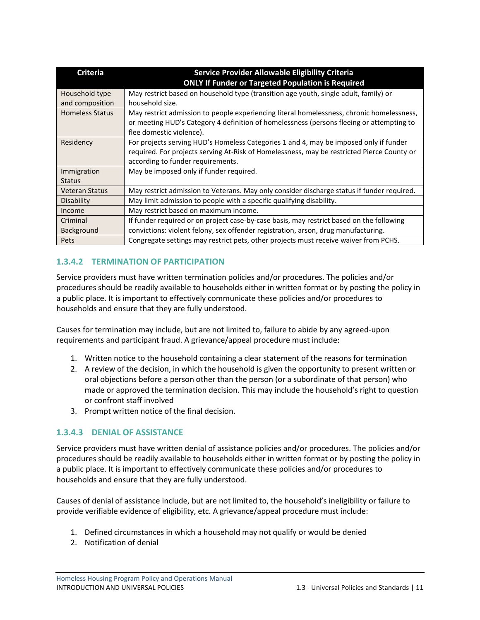| <b>Criteria</b>        | Service Provider Allowable Eligibility Criteria                                            |  |  |
|------------------------|--------------------------------------------------------------------------------------------|--|--|
|                        | <b>ONLY If Funder or Targeted Population is Required</b>                                   |  |  |
| Household type         | May restrict based on household type (transition age youth, single adult, family) or       |  |  |
| and composition        | household size.                                                                            |  |  |
| <b>Homeless Status</b> | May restrict admission to people experiencing literal homelessness, chronic homelessness,  |  |  |
|                        | or meeting HUD's Category 4 definition of homelessness (persons fleeing or attempting to   |  |  |
|                        | flee domestic violence).                                                                   |  |  |
| Residency              | For projects serving HUD's Homeless Categories 1 and 4, may be imposed only if funder      |  |  |
|                        | required. For projects serving At-Risk of Homelessness, may be restricted Pierce County or |  |  |
|                        | according to funder requirements.                                                          |  |  |
| Immigration            | May be imposed only if funder required.                                                    |  |  |
| <b>Status</b>          |                                                                                            |  |  |
| <b>Veteran Status</b>  | May restrict admission to Veterans. May only consider discharge status if funder required. |  |  |
| Disability             | May limit admission to people with a specific qualifying disability.                       |  |  |
| Income                 | May restrict based on maximum income.                                                      |  |  |
| Criminal               | If funder required or on project case-by-case basis, may restrict based on the following   |  |  |
| Background             | convictions: violent felony, sex offender registration, arson, drug manufacturing.         |  |  |
| Pets                   | Congregate settings may restrict pets, other projects must receive waiver from PCHS.       |  |  |

# <span id="page-13-0"></span>**1.3.4.2 TERMINATION OF PARTICIPATION**

Service providers must have written termination policies and/or procedures. The policies and/or procedures should be readily available to households either in written format or by posting the policy in a public place. It is important to effectively communicate these policies and/or procedures to households and ensure that they are fully understood.

Causes for termination may include, but are not limited to, failure to abide by any agreed-upon requirements and participant fraud. A grievance/appeal procedure must include:

- 1. Written notice to the household containing a clear statement of the reasons for termination
- 2. A review of the decision, in which the household is given the opportunity to present written or oral objections before a person other than the person (or a subordinate of that person) who made or approved the termination decision. This may include the household's right to question or confront staff involved
- 3. Prompt written notice of the final decision.

# <span id="page-13-1"></span>**1.3.4.3 DENIAL OF ASSISTANCE**

Service providers must have written denial of assistance policies and/or procedures. The policies and/or procedures should be readily available to households either in written format or by posting the policy in a public place. It is important to effectively communicate these policies and/or procedures to households and ensure that they are fully understood.

Causes of denial of assistance include, but are not limited to, the household's ineligibility or failure to provide verifiable evidence of eligibility, etc. A grievance/appeal procedure must include:

- 1. Defined circumstances in which a household may not qualify or would be denied
- 2. Notification of denial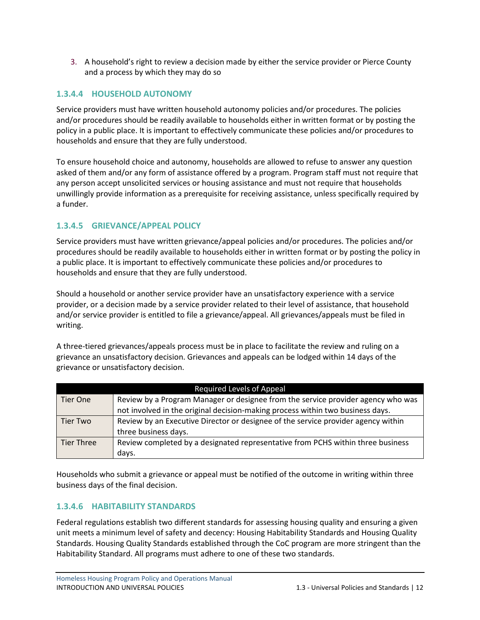3. A household's right to review a decision made by either the service provider or Pierce County and a process by which they may do so

# <span id="page-14-0"></span>**1.3.4.4 HOUSEHOLD AUTONOMY**

Service providers must have written household autonomy policies and/or procedures. The policies and/or procedures should be readily available to households either in written format or by posting the policy in a public place. It is important to effectively communicate these policies and/or procedures to households and ensure that they are fully understood.

To ensure household choice and autonomy, households are allowed to refuse to answer any question asked of them and/or any form of assistance offered by a program. Program staff must not require that any person accept unsolicited services or housing assistance and must not require that households unwillingly provide information as a prerequisite for receiving assistance, unless specifically required by a funder.

# <span id="page-14-1"></span>**1.3.4.5 GRIEVANCE/APPEAL POLICY**

Service providers must have written grievance/appeal policies and/or procedures. The policies and/or procedures should be readily available to households either in written format or by posting the policy in a public place. It is important to effectively communicate these policies and/or procedures to households and ensure that they are fully understood.

Should a household or another service provider have an unsatisfactory experience with a service provider, or a decision made by a service provider related to their level of assistance, that household and/or service provider is entitled to file a grievance/appeal. All grievances/appeals must be filed in writing.

A three-tiered grievances/appeals process must be in place to facilitate the review and ruling on a grievance an unsatisfactory decision. Grievances and appeals can be lodged within 14 days of the grievance or unsatisfactory decision.

| <b>Required Levels of Appeal</b> |                                                                                   |  |  |
|----------------------------------|-----------------------------------------------------------------------------------|--|--|
| Tier One                         | Review by a Program Manager or designee from the service provider agency who was  |  |  |
|                                  | not involved in the original decision-making process within two business days.    |  |  |
| Tier Two                         | Review by an Executive Director or designee of the service provider agency within |  |  |
|                                  | three business days.                                                              |  |  |
| <b>Tier Three</b>                | Review completed by a designated representative from PCHS within three business   |  |  |
|                                  | days.                                                                             |  |  |

Households who submit a grievance or appeal must be notified of the outcome in writing within three business days of the final decision.

# <span id="page-14-2"></span>**1.3.4.6 HABITABILITY STANDARDS**

Federal regulations establish two different standards for assessing housing quality and ensuring a given unit meets a minimum level of safety and decency: Housing Habitability Standards and Housing Quality Standards. Housing Quality Standards established through the CoC program are more stringent than the Habitability Standard. All programs must adhere to one of these two standards.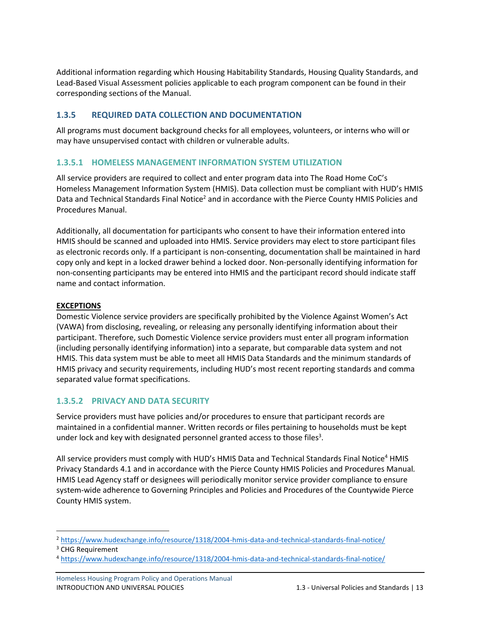Additional information regarding which Housing Habitability Standards, Housing Quality Standards, and Lead-Based Visual Assessment policies applicable to each program component can be found in their corresponding sections of the Manual.

# <span id="page-15-0"></span>**1.3.5 REQUIRED DATA COLLECTION AND DOCUMENTATION**

All programs must document background checks for all employees, volunteers, or interns who will or may have unsupervised contact with children or vulnerable adults.

# <span id="page-15-1"></span>**1.3.5.1 HOMELESS MANAGEMENT INFORMATION SYSTEM UTILIZATION**

All service providers are required to collect and enter program data into The Road Home CoC's Homeless Management Information System (HMIS). Data collection must be compliant with HUD's HMIS Data and Technical Standards Final Notice<sup>2</sup> and in accordance with the Pierce County HMIS Policies and Procedures Manual.

Additionally, all documentation for participants who consent to have their information entered into HMIS should be scanned and uploaded into HMIS. Service providers may elect to store participant files as electronic records only. If a participant is non-consenting, documentation shall be maintained in hard copy only and kept in a locked drawer behind a locked door. Non-personally identifying information for non-consenting participants may be entered into HMIS and the participant record should indicate staff name and contact information.

#### **EXCEPTIONS**

Domestic Violence service providers are specifically prohibited by the Violence Against Women's Act (VAWA) from disclosing, revealing, or releasing any personally identifying information about their participant. Therefore, such Domestic Violence service providers must enter all program information (including personally identifying information) into a separate, but comparable data system and not HMIS. This data system must be able to meet all HMIS Data Standards and the minimum standards of HMIS privacy and security requirements, including HUD's most recent reporting standards and comma separated value format specifications.

# <span id="page-15-2"></span>**1.3.5.2 PRIVACY AND DATA SECURITY**

Service providers must have policies and/or procedures to ensure that participant records are maintained in a confidential manner. Written records or files pertaining to households must be kept under lock and key with designated personnel granted access to those files<sup>3</sup>.

All service providers must comply with HUD's HMIS Data and Technical Standards Final Notice<sup>4</sup> HMIS Privacy Standards 4.1 and in accordance with the Pierce County HMIS Policies and Procedures Manual*.* HMIS Lead Agency staff or designees will periodically monitor service provider compliance to ensure system-wide adherence to Governing Principles and Policies and Procedures of the Countywide Pierce County HMIS system.

<sup>2</sup> <https://www.hudexchange.info/resource/1318/2004-hmis-data-and-technical-standards-final-notice/>

<sup>&</sup>lt;sup>3</sup> CHG Requirement

<sup>4</sup> <https://www.hudexchange.info/resource/1318/2004-hmis-data-and-technical-standards-final-notice/>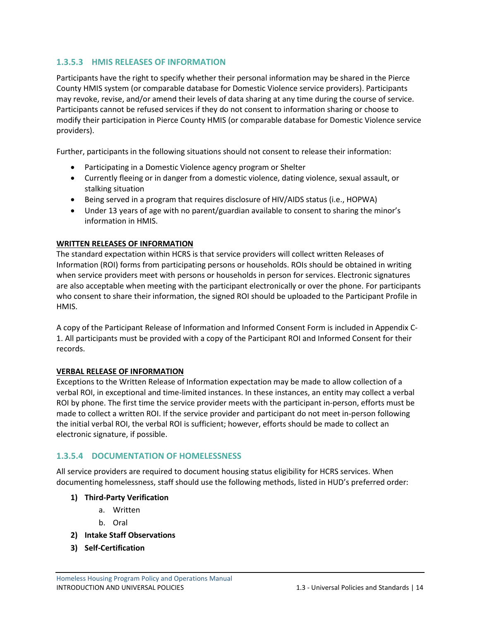# <span id="page-16-0"></span>**1.3.5.3 HMIS RELEASES OF INFORMATION**

Participants have the right to specify whether their personal information may be shared in the Pierce County HMIS system (or comparable database for Domestic Violence service providers). Participants may revoke, revise, and/or amend their levels of data sharing at any time during the course of service. Participants cannot be refused services if they do not consent to information sharing or choose to modify their participation in Pierce County HMIS (or comparable database for Domestic Violence service providers).

Further, participants in the following situations should not consent to release their information:

- Participating in a Domestic Violence agency program or Shelter
- Currently fleeing or in danger from a domestic violence, dating violence, sexual assault, or stalking situation
- Being served in a program that requires disclosure of HIV/AIDS status (i.e., HOPWA)
- Under 13 years of age with no parent/guardian available to consent to sharing the minor's information in HMIS.

#### **WRITTEN RELEASES OF INFORMATION**

The standard expectation within HCRS is that service providers will collect written Releases of Information (ROI) forms from participating persons or households. ROIs should be obtained in writing when service providers meet with persons or households in person for services. Electronic signatures are also acceptable when meeting with the participant electronically or over the phone. For participants who consent to share their information, the signed ROI should be uploaded to the Participant Profile in HMIS.

A copy of the Participant Release of Information and Informed Consent Form is included in Appendix C-1. All participants must be provided with a copy of the Participant ROI and Informed Consent for their records.

#### **VERBAL RELEASE OF INFORMATION**

Exceptions to the Written Release of Information expectation may be made to allow collection of a verbal ROI, in exceptional and time-limited instances. In these instances, an entity may collect a verbal ROI by phone. The first time the service provider meets with the participant in-person, efforts must be made to collect a written ROI. If the service provider and participant do not meet in-person following the initial verbal ROI, the verbal ROI is sufficient; however, efforts should be made to collect an electronic signature, if possible.

#### <span id="page-16-1"></span>**1.3.5.4 DOCUMENTATION OF HOMELESSNESS**

All service providers are required to document housing status eligibility for HCRS services. When documenting homelessness, staff should use the following methods, listed in HUD's preferred order:

- **1) Third-Party Verification**
	- a. Written
	- b. Oral
- **2) Intake Staff Observations**
- **3) Self-Certification**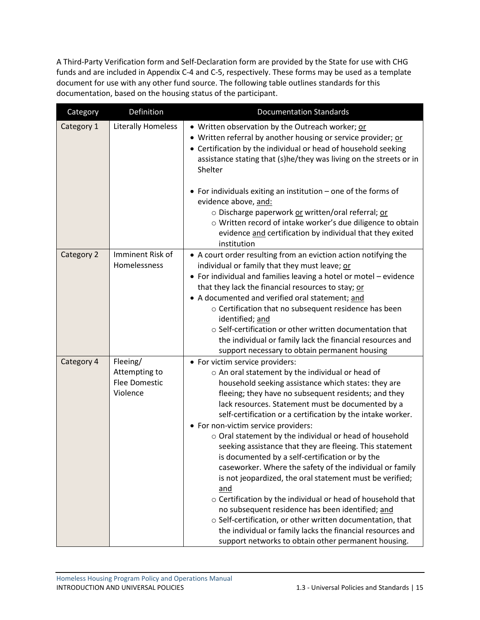A Third-Party Verification form and Self-Declaration form are provided by the State for use with CHG funds and are included in Appendix C-4 and C-5, respectively. These forms may be used as a template document for use with any other fund source. The following table outlines standards for this documentation, based on the housing status of the participant.

| Category   | Definition                                                    | <b>Documentation Standards</b>                                                                                                                                                                                                                                                                                                                                                                                                                                                                                                                                                                                                                                                                                                                                                                                                                                                                                                                                               |
|------------|---------------------------------------------------------------|------------------------------------------------------------------------------------------------------------------------------------------------------------------------------------------------------------------------------------------------------------------------------------------------------------------------------------------------------------------------------------------------------------------------------------------------------------------------------------------------------------------------------------------------------------------------------------------------------------------------------------------------------------------------------------------------------------------------------------------------------------------------------------------------------------------------------------------------------------------------------------------------------------------------------------------------------------------------------|
| Category 1 | <b>Literally Homeless</b>                                     | • Written observation by the Outreach worker; or<br>Written referral by another housing or service provider; or<br>٠<br>• Certification by the individual or head of household seeking<br>assistance stating that (s)he/they was living on the streets or in<br>Shelter                                                                                                                                                                                                                                                                                                                                                                                                                                                                                                                                                                                                                                                                                                      |
|            |                                                               | • For individuals exiting an institution - one of the forms of<br>evidence above, and:<br>o Discharge paperwork or written/oral referral; or<br>o Written record of intake worker's due diligence to obtain<br>evidence and certification by individual that they exited<br>institution                                                                                                                                                                                                                                                                                                                                                                                                                                                                                                                                                                                                                                                                                      |
| Category 2 | Imminent Risk of<br>Homelessness                              | • A court order resulting from an eviction action notifying the<br>individual or family that they must leave; or<br>• For individual and families leaving a hotel or motel - evidence<br>that they lack the financial resources to stay; or<br>• A documented and verified oral statement; and<br>$\circ$ Certification that no subsequent residence has been<br>identified; and<br>○ Self-certification or other written documentation that<br>the individual or family lack the financial resources and<br>support necessary to obtain permanent housing                                                                                                                                                                                                                                                                                                                                                                                                                   |
| Category 4 | Fleeing/<br>Attempting to<br><b>Flee Domestic</b><br>Violence | • For victim service providers:<br>o An oral statement by the individual or head of<br>household seeking assistance which states: they are<br>fleeing; they have no subsequent residents; and they<br>lack resources. Statement must be documented by a<br>self-certification or a certification by the intake worker.<br>• For non-victim service providers:<br>o Oral statement by the individual or head of household<br>seeking assistance that they are fleeing. This statement<br>is documented by a self-certification or by the<br>caseworker. Where the safety of the individual or family<br>is not jeopardized, the oral statement must be verified;<br>and<br>o Certification by the individual or head of household that<br>no subsequent residence has been identified; and<br>o Self-certification, or other written documentation, that<br>the individual or family lacks the financial resources and<br>support networks to obtain other permanent housing. |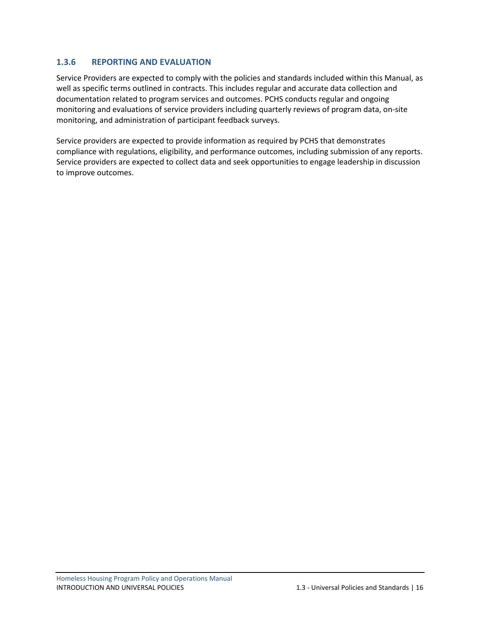# <span id="page-18-0"></span>**1.3.6 REPORTING AND EVALUATION**

Service Providers are expected to comply with the policies and standards included within this Manual, as well as specific terms outlined in contracts. This includes regular and accurate data collection and documentation related to program services and outcomes. PCHS conducts regular and ongoing monitoring and evaluations of service providers including quarterly reviews of program data, on-site monitoring, and administration of participant feedback surveys.

Service providers are expected to provide information as required by PCHS that demonstrates compliance with regulations, eligibility, and performance outcomes, including submission of any reports. Service providers are expected to collect data and seek opportunities to engage leadership in discussion to improve outcomes.